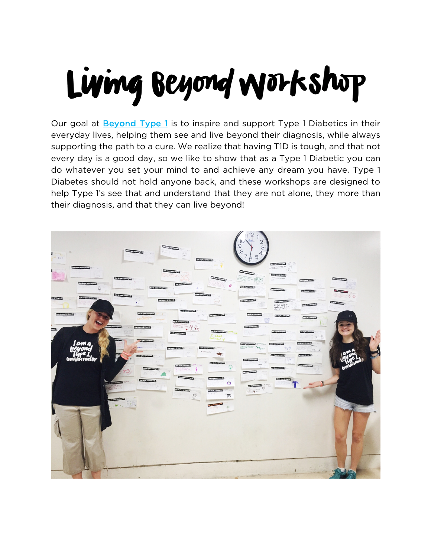#### Living Beyond Workshop

Our goal at Beyond Type 1 is to inspire and support Type 1 Diabetics in their everyday lives, helping them see and live beyond their diagnosis, while always supporting the path to a cure. We realize that having T1D is tough, and that not every day is a good day, so we like to show that as a Type 1 Diabetic you can do whatever you set your mind to and achieve any dream you have. Type 1 Diabetes should not hold anyone back, and these workshops are designed to help Type 1's see that and understand that they are not alone, they more than their diagnosis, and that they can live beyond!

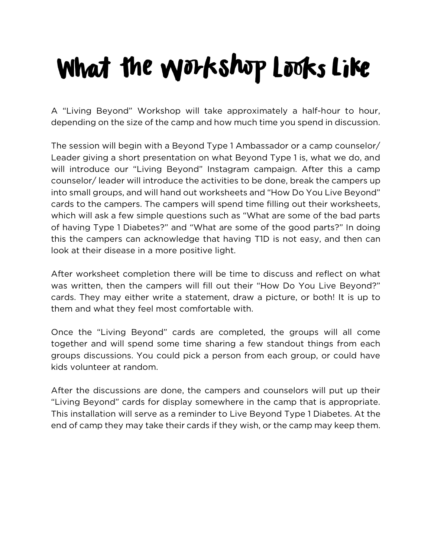#### What the Workshop Looks Like

A "Living Beyond" Workshop will take approximately a half-hour to hour, depending on the size of the camp and how much time you spend in discussion.

The session will begin with a Beyond Type 1 Ambassador or a camp counselor/ Leader giving a short presentation on what Beyond Type 1 is, what we do, and will introduce our "Living Beyond" Instagram campaign. After this a camp counselor/ leader will introduce the activities to be done, break the campers up into small groups, and will hand out worksheets and "How Do You Live Beyond" cards to the campers. The campers will spend time filling out their worksheets, which will ask a few simple questions such as "What are some of the bad parts of having Type 1 Diabetes?" and "What are some of the good parts?" In doing this the campers can acknowledge that having T1D is not easy, and then can look at their disease in a more positive light.

After worksheet completion there will be time to discuss and reflect on what was written, then the campers will fill out their "How Do You Live Beyond?" cards. They may either write a statement, draw a picture, or both! It is up to them and what they feel most comfortable with.

Once the "Living Beyond" cards are completed, the groups will all come together and will spend some time sharing a few standout things from each groups discussions. You could pick a person from each group, or could have kids volunteer at random.

After the discussions are done, the campers and counselors will put up their "Living Beyond" cards for display somewhere in the camp that is appropriate. This installation will serve as a reminder to Live Beyond Type 1 Diabetes. At the end of camp they may take their cards if they wish, or the camp may keep them.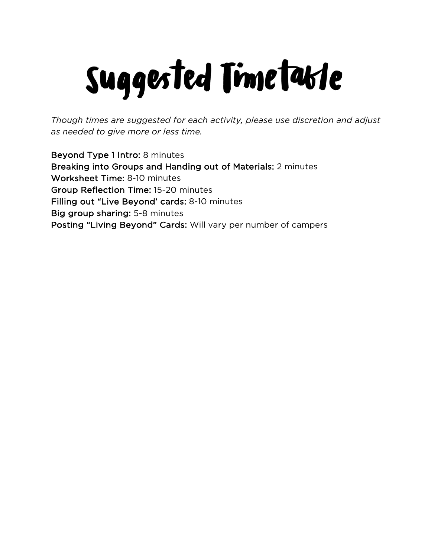### Suggested Timetable

*Though times are suggested for each activity, please use discretion and adjust as needed to give more or less time.*

Beyond Type 1 Intro: 8 minutes Breaking into Groups and Handing out of Materials: 2 minutes Worksheet Time: 8-10 minutes Group Reflection Time: 15-20 minutes Filling out "Live Beyond' cards: 8-10 minutes Big group sharing: 5-8 minutes Posting "Living Beyond" Cards: Will vary per number of campers